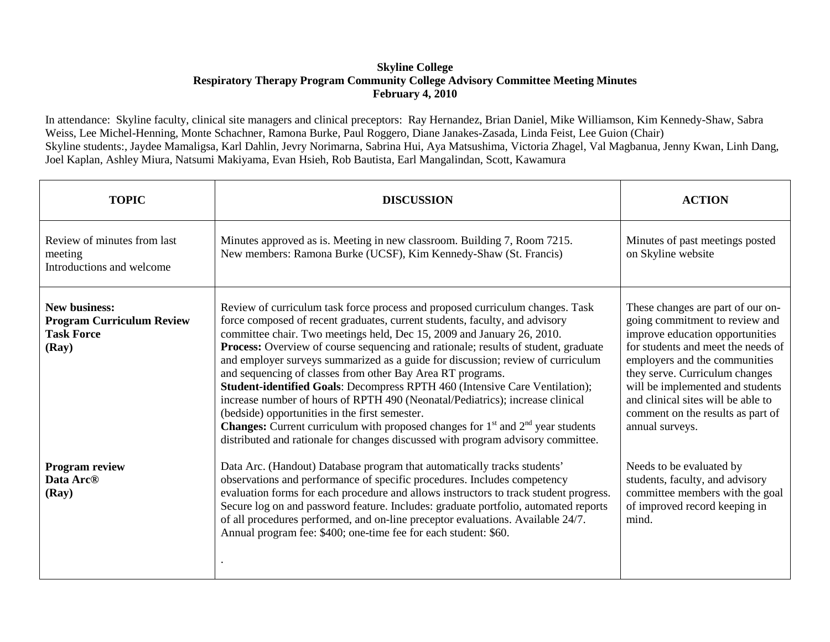## **Skyline College Respiratory Therapy Program Community College Advisory Committee Meeting Minutes February 4, 2010**

In attendance: Skyline faculty, clinical site managers and clinical preceptors: Ray Hernandez, Brian Daniel, Mike Williamson, Kim Kennedy-Shaw, Sabra Weiss, Lee Michel-Henning, Monte Schachner, Ramona Burke, Paul Roggero, Diane Janakes-Zasada, Linda Feist, Lee Guion (Chair) Skyline students:, Jaydee Mamaligsa, Karl Dahlin, Jevry Norimarna, Sabrina Hui, Aya Matsushima, Victoria Zhagel, Val Magbanua, Jenny Kwan, Linh Dang, Joel Kaplan, Ashley Miura, Natsumi Makiyama, Evan Hsieh, Rob Bautista, Earl Mangalindan, Scott, Kawamura

| <b>TOPIC</b>                                                                           | <b>DISCUSSION</b>                                                                                                                                                                                                                                                                                                                                                                                                                                                                                                                                                                                                                                                                                                                                                                                                                                                                 | <b>ACTION</b>                                                                                                                                                                                                                                                                                                                                     |
|----------------------------------------------------------------------------------------|-----------------------------------------------------------------------------------------------------------------------------------------------------------------------------------------------------------------------------------------------------------------------------------------------------------------------------------------------------------------------------------------------------------------------------------------------------------------------------------------------------------------------------------------------------------------------------------------------------------------------------------------------------------------------------------------------------------------------------------------------------------------------------------------------------------------------------------------------------------------------------------|---------------------------------------------------------------------------------------------------------------------------------------------------------------------------------------------------------------------------------------------------------------------------------------------------------------------------------------------------|
| Review of minutes from last<br>meeting<br>Introductions and welcome                    | Minutes approved as is. Meeting in new classroom. Building 7, Room 7215.<br>New members: Ramona Burke (UCSF), Kim Kennedy-Shaw (St. Francis)                                                                                                                                                                                                                                                                                                                                                                                                                                                                                                                                                                                                                                                                                                                                      | Minutes of past meetings posted<br>on Skyline website                                                                                                                                                                                                                                                                                             |
| <b>New business:</b><br><b>Program Curriculum Review</b><br><b>Task Force</b><br>(Ray) | Review of curriculum task force process and proposed curriculum changes. Task<br>force composed of recent graduates, current students, faculty, and advisory<br>committee chair. Two meetings held, Dec 15, 2009 and January 26, 2010.<br>Process: Overview of course sequencing and rationale; results of student, graduate<br>and employer surveys summarized as a guide for discussion; review of curriculum<br>and sequencing of classes from other Bay Area RT programs.<br>Student-identified Goals: Decompress RPTH 460 (Intensive Care Ventilation);<br>increase number of hours of RPTH 490 (Neonatal/Pediatrics); increase clinical<br>(bedside) opportunities in the first semester.<br><b>Changes:</b> Current curriculum with proposed changes for $1st$ and $2nd$ year students<br>distributed and rationale for changes discussed with program advisory committee. | These changes are part of our on-<br>going commitment to review and<br>improve education opportunities<br>for students and meet the needs of<br>employers and the communities<br>they serve. Curriculum changes<br>will be implemented and students<br>and clinical sites will be able to<br>comment on the results as part of<br>annual surveys. |
| <b>Program review</b><br>Data Arc <sup>®</sup><br>(Ray)                                | Data Arc. (Handout) Database program that automatically tracks students'<br>observations and performance of specific procedures. Includes competency<br>evaluation forms for each procedure and allows instructors to track student progress.<br>Secure log on and password feature. Includes: graduate portfolio, automated reports<br>of all procedures performed, and on-line preceptor evaluations. Available 24/7.<br>Annual program fee: \$400; one-time fee for each student: \$60.                                                                                                                                                                                                                                                                                                                                                                                        | Needs to be evaluated by<br>students, faculty, and advisory<br>committee members with the goal<br>of improved record keeping in<br>mind.                                                                                                                                                                                                          |